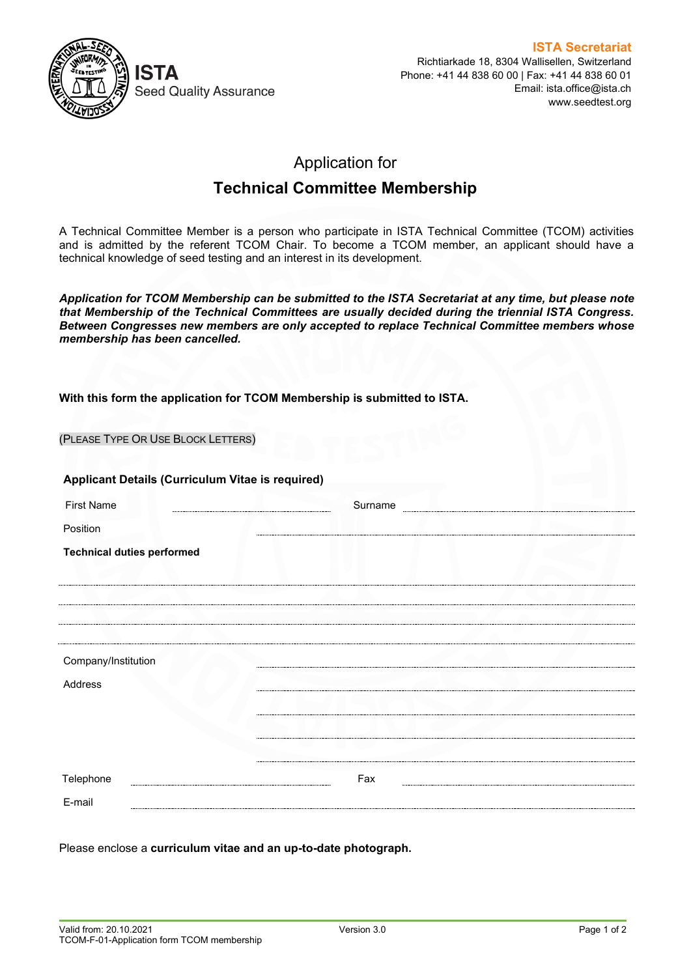

## Application for

## **Technical Committee Membership**

A Technical Committee Member is a person who participate in ISTA Technical Committee (TCOM) activities and is admitted by the referent TCOM Chair. To become a TCOM member, an applicant should have a technical knowledge of seed testing and an interest in its development.

*Application for TCOM Membership can be submitted to the ISTA Secretariat at any time, but please note that Membership of the Technical Committees are usually decided during the triennial ISTA Congress. Between Congresses new members are only accepted to replace Technical Committee members whose membership has been cancelled.*

## **With this form the application for TCOM Membership is submitted to ISTA.**

| (PLEASE TYPE OR USE BLOCK LETTERS)               |         |  |
|--------------------------------------------------|---------|--|
| Applicant Details (Curriculum Vitae is required) |         |  |
| <b>First Name</b>                                | Surname |  |
| Position                                         |         |  |
| <b>Technical duties performed</b>                |         |  |
|                                                  |         |  |
|                                                  |         |  |
|                                                  |         |  |
|                                                  |         |  |
| Company/Institution                              |         |  |
| Address                                          |         |  |
|                                                  |         |  |
|                                                  |         |  |
|                                                  |         |  |
| Telephone                                        | Fax     |  |
| E-mail                                           |         |  |

Please enclose a **curriculum vitae and an up-to-date photograph.**